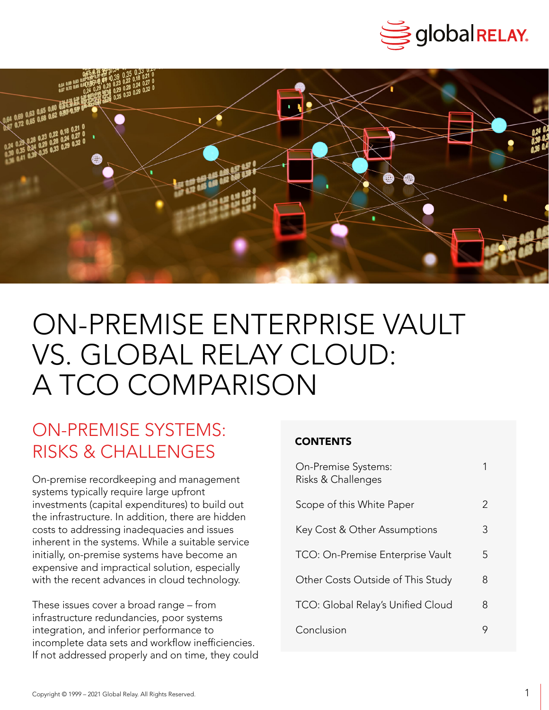



# ON-PREMISE ENTERPRISE VAULT VS. GLOBAL RELAY CLOUD: A TCO COMPARISON

### ON-PREMISE SYSTEMS: RISKS & CHALLENGES

On-premise recordkeeping and management systems typically require large upfront investments (capital expenditures) to build out the infrastructure. In addition, there are hidden costs to addressing inadequacies and issues inherent in the systems. While a suitable service initially, on-premise systems have become an expensive and impractical solution, especially with the recent advances in cloud technology.

These issues cover a broad range – from infrastructure redundancies, poor systems integration, and inferior performance to incomplete data sets and workflow inefficiencies. If not addressed properly and on time, they could

| On-Premise Systems:<br>Risks & Challenges |               |
|-------------------------------------------|---------------|
| Scope of this White Paper                 | $\mathcal{P}$ |
| Key Cost & Other Assumptions              | 3             |
| TCO: On-Premise Enterprise Vault          | 5             |
| Other Costs Outside of This Study         | 8             |
| TCO: Global Relay's Unified Cloud         | 8             |
| Conclusion                                |               |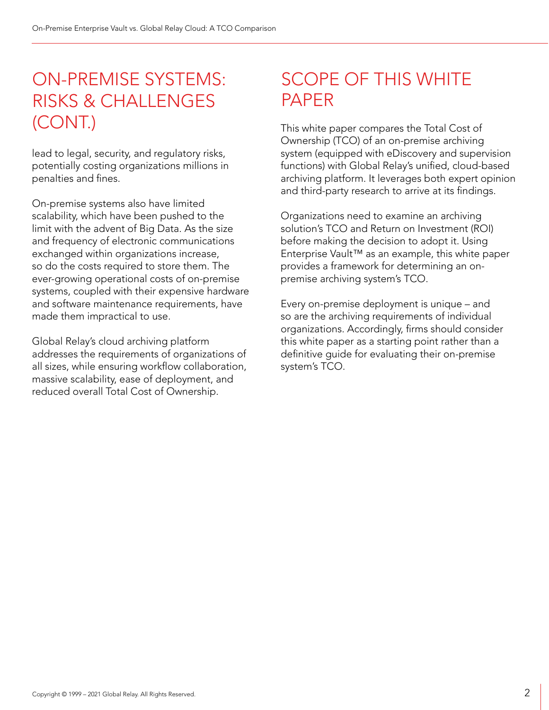### ON-PREMISE SYSTEMS: RISKS & CHALLENGES (CONT.)

lead to legal, security, and regulatory risks, potentially costing organizations millions in penalties and fines.

On-premise systems also have limited scalability, which have been pushed to the limit with the advent of Big Data. As the size and frequency of electronic communications exchanged within organizations increase, so do the costs required to store them. The ever-growing operational costs of on-premise systems, coupled with their expensive hardware and software maintenance requirements, have made them impractical to use.

Global Relay's cloud archiving platform addresses the requirements of organizations of all sizes, while ensuring workflow collaboration, massive scalability, ease of deployment, and reduced overall Total Cost of Ownership.

## SCOPE OF THIS WHITE PAPER

This white paper compares the Total Cost of Ownership (TCO) of an on-premise archiving system (equipped with eDiscovery and supervision functions) with Global Relay's unified, cloud-based archiving platform. It leverages both expert opinion and third-party research to arrive at its findings.

Organizations need to examine an archiving solution's TCO and Return on Investment (ROI) before making the decision to adopt it. Using Enterprise Vault™ as an example, this white paper provides a framework for determining an onpremise archiving system's TCO.

Every on-premise deployment is unique – and so are the archiving requirements of individual organizations. Accordingly, firms should consider this white paper as a starting point rather than a definitive guide for evaluating their on-premise system's TCO.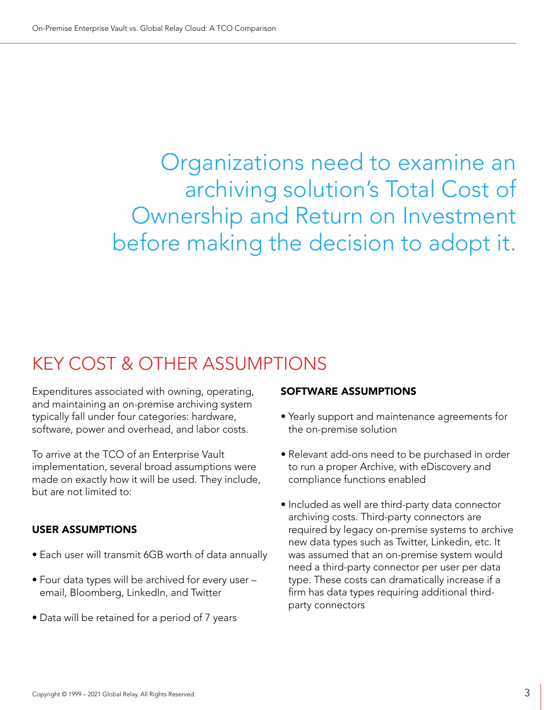Organizations need to examine an archiving solution's Total Cost of Ownership and Return on Investment before making the decision to adopt it.

### KEY COST & OTHER ASSUMPTIONS

Expenditures associated with owning, operating, and maintaining an on-premise archiving system typically fall under four categories: hardware, software, power and overhead, and labor costs.

To arrive at the TCO of an Enterprise Vault implementation, several broad assumptions were made on exactly how it will be used. They include, but are not limited to:

#### USER ASSUMPTIONS

- Each user will transmit 6GB worth of data annually
- Four data types will be archived for every user email, Bloomberg, LinkedIn, and Twitter
- Data will be retained for a period of 7 years

#### SOFTWARE ASSUMPTIONS

- Yearly support and maintenance agreements for the on-premise solution
- Relevant add-ons need to be purchased in order to run a proper Archive, with eDiscovery and compliance functions enabled
- Included as well are third-party data connector archiving costs. Third-party connectors are required by legacy on-premise systems to archive new data types such as Twitter, Linkedin, etc. It was assumed that an on-premise system would need a third-party connector per user per data type. These costs can dramatically increase if a firm has data types requiring additional thirdparty connectors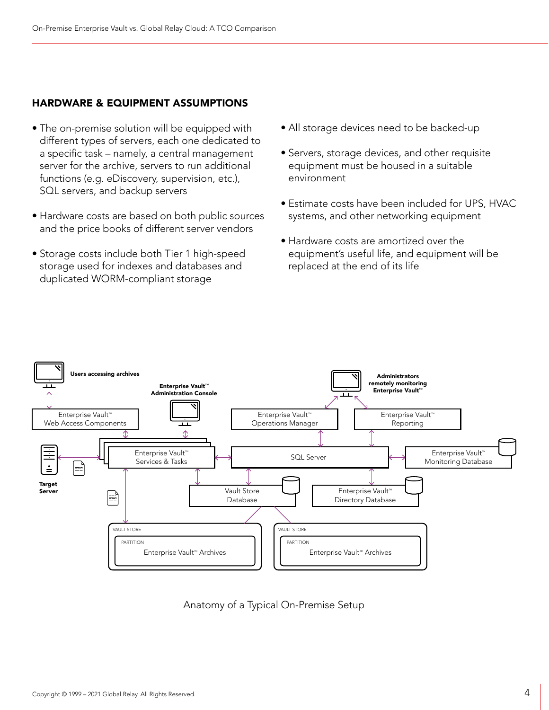### HARDWARE & EQUIPMENT ASSUMPTIONS

- The on-premise solution will be equipped with different types of servers, each one dedicated to a specific task – namely, a central management server for the archive, servers to run additional functions (e.g. eDiscovery, supervision, etc.), SQL servers, and backup servers
- Hardware costs are based on both public sources and the price books of different server vendors
- Storage costs include both Tier 1 high-speed storage used for indexes and databases and duplicated WORM-compliant storage
- All storage devices need to be backed-up
- Servers, storage devices, and other requisite equipment must be housed in a suitable environment
- Estimate costs have been included for UPS, HVAC systems, and other networking equipment
- Hardware costs are amortized over the equipment's useful life, and equipment will be replaced at the end of its life



Anatomy of a Typical On-Premise Setup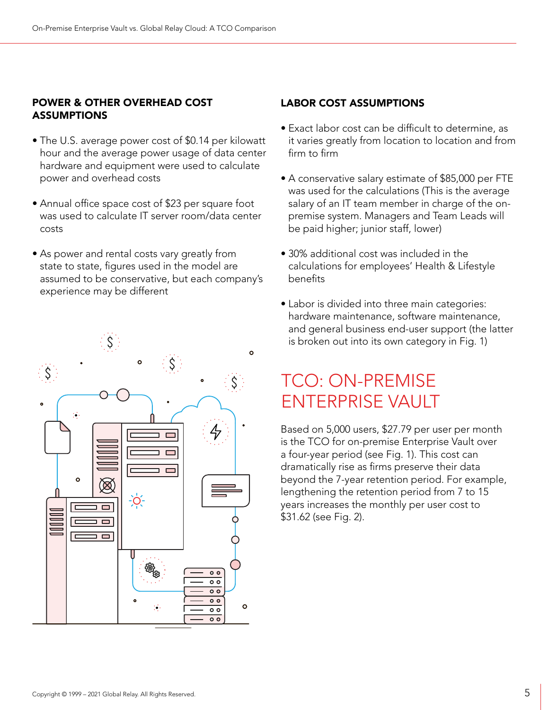#### POWER & OTHER OVERHEAD COST **ASSUMPTIONS**

- The U.S. average power cost of \$0.14 per kilowatt hour and the average power usage of data center hardware and equipment were used to calculate power and overhead costs
- Annual office space cost of \$23 per square foot was used to calculate IT server room/data center costs
- As power and rental costs vary greatly from state to state, figures used in the model are assumed to be conservative, but each company's experience may be different



### LABOR COST ASSUMPTIONS

- Exact labor cost can be difficult to determine, as it varies greatly from location to location and from firm to firm
- A conservative salary estimate of \$85,000 per FTE was used for the calculations (This is the average salary of an IT team member in charge of the onpremise system. Managers and Team Leads will be paid higher; junior staff, lower)
- 30% additional cost was included in the calculations for employees' Health & Lifestyle benefits
- Labor is divided into three main categories: hardware maintenance, software maintenance, and general business end-user support (the latter is broken out into its own category in Fig. 1)

## TCO: ON-PREMISE ENTERPRISE VAULT

Based on 5,000 users, \$27.79 per user per month is the TCO for on-premise Enterprise Vault over a four-year period (see Fig. 1). This cost can dramatically rise as firms preserve their data beyond the 7-year retention period. For example, lengthening the retention period from 7 to 15 years increases the monthly per user cost to \$31.62 (see Fig. 2).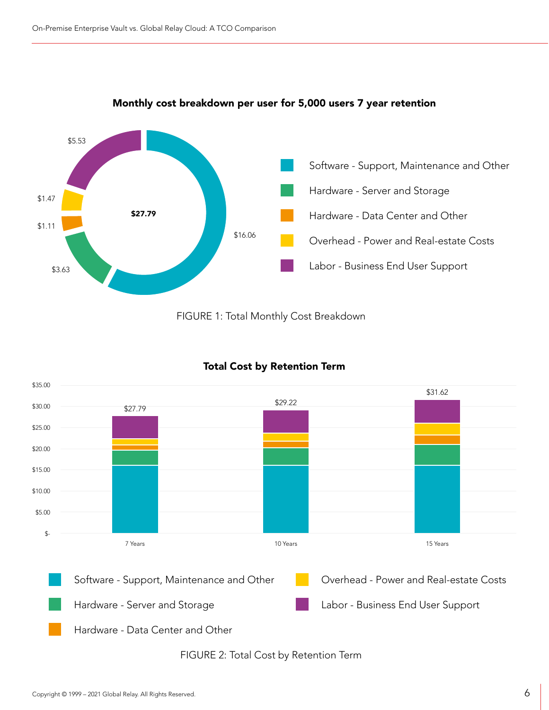

#### Monthly cost breakdown per user for 5,000 users 7 year retention





#### Total Cost by Retention Term

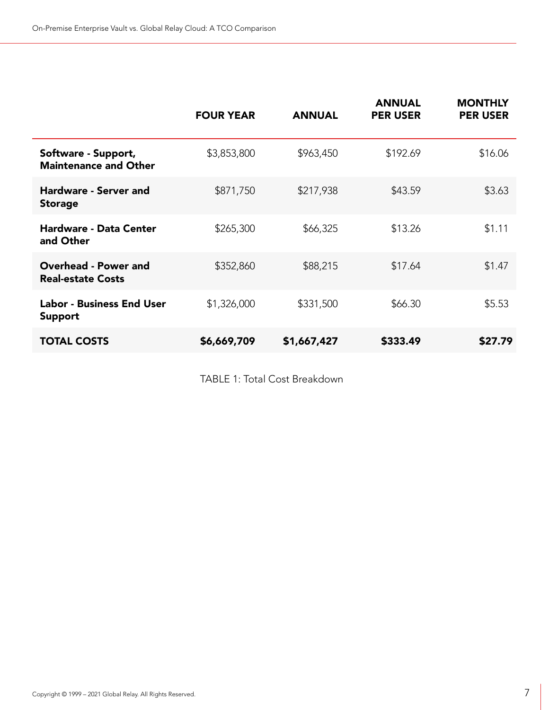|                                                         | <b>FOUR YEAR</b> | <b>ANNUAL</b> | <b>ANNUAL</b><br><b>PER USER</b> | <b>MONTHLY</b><br><b>PER USER</b> |
|---------------------------------------------------------|------------------|---------------|----------------------------------|-----------------------------------|
| Software - Support,<br><b>Maintenance and Other</b>     | \$3,853,800      | \$963,450     | \$192.69                         | \$16.06                           |
| <b>Hardware - Server and</b><br><b>Storage</b>          | \$871,750        | \$217,938     | \$43.59                          | \$3.63                            |
| <b>Hardware - Data Center</b><br>and Other              | \$265,300        | \$66,325      | \$13.26                          | \$1.11                            |
| <b>Overhead - Power and</b><br><b>Real-estate Costs</b> | \$352,860        | \$88,215      | \$17.64                          | \$1.47                            |
| <b>Labor - Business End User</b><br><b>Support</b>      | \$1,326,000      | \$331,500     | \$66.30                          | \$5.53                            |
| <b>TOTAL COSTS</b>                                      | \$6,669,709      | \$1,667,427   | \$333.49                         | \$27.79                           |

TABLE 1: Total Cost Breakdown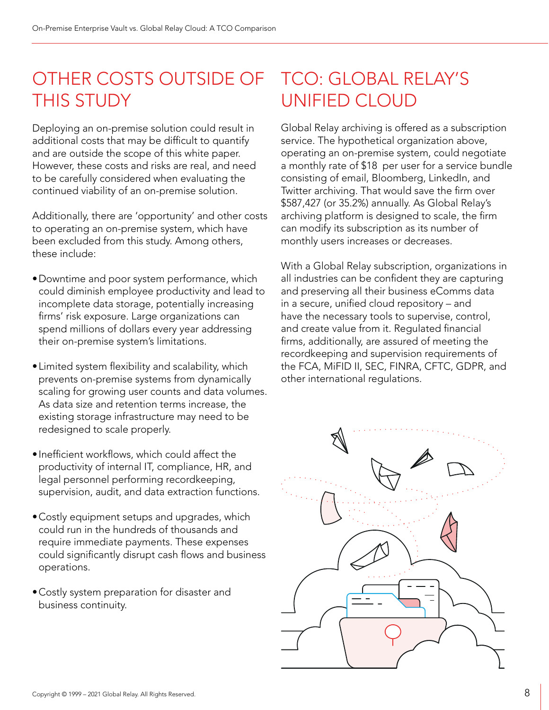## OTHER COSTS OUTSIDE OF THIS STUDY

Deploying an on-premise solution could result in additional costs that may be difficult to quantify and are outside the scope of this white paper. However, these costs and risks are real, and need to be carefully considered when evaluating the continued viability of an on-premise solution.

Additionally, there are 'opportunity' and other costs to operating an on-premise system, which have been excluded from this study. Among others, these include:

- •Downtime and poor system performance, which could diminish employee productivity and lead to incomplete data storage, potentially increasing firms' risk exposure. Large organizations can spend millions of dollars every year addressing their on-premise system's limitations.
- •Limited system flexibility and scalability, which prevents on-premise systems from dynamically scaling for growing user counts and data volumes. As data size and retention terms increase, the existing storage infrastructure may need to be redesigned to scale properly.
- •Inefficient workflows, which could affect the productivity of internal IT, compliance, HR, and legal personnel performing recordkeeping, supervision, audit, and data extraction functions.
- •Costly equipment setups and upgrades, which could run in the hundreds of thousands and require immediate payments. These expenses could significantly disrupt cash flows and business operations.
- •Costly system preparation for disaster and business continuity.

## TCO: GLOBAL RELAY'S UNIFIED CLOUD

Global Relay archiving is offered as a subscription service. The hypothetical organization above, operating an on-premise system, could negotiate a monthly rate of \$18 per user for a service bundle consisting of email, Bloomberg, LinkedIn, and Twitter archiving. That would save the firm over \$587,427 (or 35.2%) annually. As Global Relay's archiving platform is designed to scale, the firm can modify its subscription as its number of monthly users increases or decreases.

With a Global Relay subscription, organizations in all industries can be confident they are capturing and preserving all their business eComms data in a secure, unified cloud repository – and have the necessary tools to supervise, control, and create value from it. Regulated financial firms, additionally, are assured of meeting the recordkeeping and supervision requirements of the FCA, MiFID II, SEC, FINRA, CFTC, GDPR, and other international regulations.